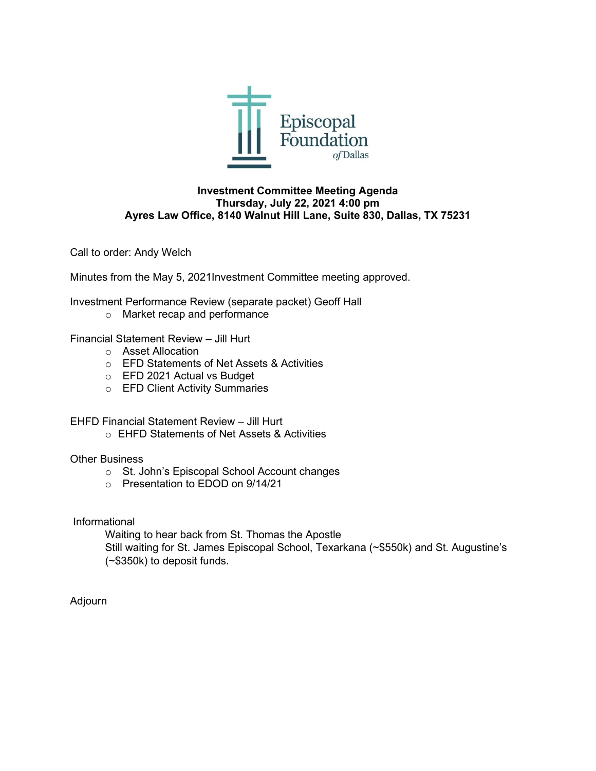

### **Investment Committee Meeting Agenda Thursday, July 22, 2021 4:00 pm Ayres Law Office, 8140 Walnut Hill Lane, Suite 830, Dallas, TX 75231**

Call to order: Andy Welch

Minutes from the May 5, 2021Investment Committee meeting approved.

Investment Performance Review (separate packet) Geoff Hall

o Market recap and performance

Financial Statement Review – Jill Hurt

- o Asset Allocation
- o EFD Statements of Net Assets & Activities
- o EFD 2021 Actual vs Budget
- o EFD Client Activity Summaries

EHFD Financial Statement Review – Jill Hurt

o EHFD Statements of Net Assets & Activities

## Other Business

- o St. John's Episcopal School Account changes
- o Presentation to EDOD on 9/14/21

Informational

Waiting to hear back from St. Thomas the Apostle Still waiting for St. James Episcopal School, Texarkana (~\$550k) and St. Augustine's (~\$350k) to deposit funds.

Adjourn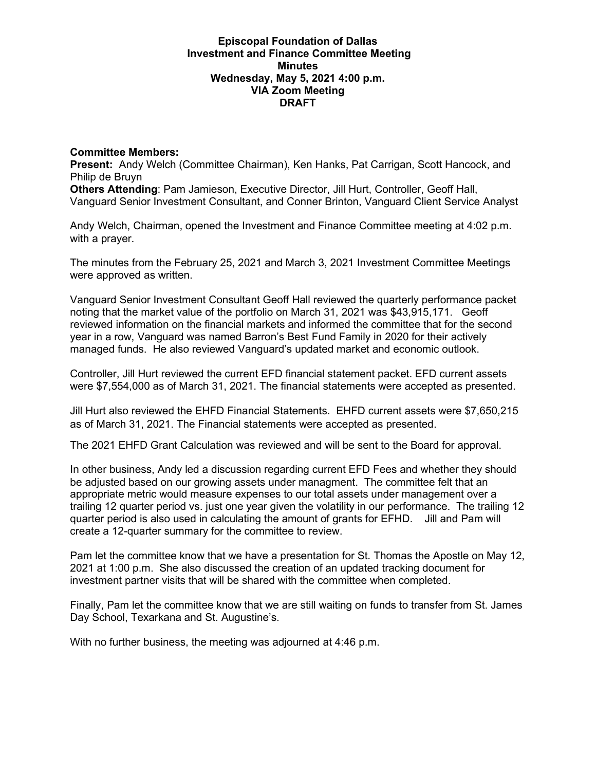#### **Episcopal Foundation of Dallas Investment and Finance Committee Meeting Minutes Wednesday, May 5, 2021 4:00 p.m. VIA Zoom Meeting DRAFT**

## **Committee Members:**

**Present:** Andy Welch (Committee Chairman), Ken Hanks, Pat Carrigan, Scott Hancock, and Philip de Bruyn

**Others Attending**: Pam Jamieson, Executive Director, Jill Hurt, Controller, Geoff Hall, Vanguard Senior Investment Consultant, and Conner Brinton, Vanguard Client Service Analyst

Andy Welch, Chairman, opened the Investment and Finance Committee meeting at 4:02 p.m. with a prayer.

The minutes from the February 25, 2021 and March 3, 2021 Investment Committee Meetings were approved as written.

Vanguard Senior Investment Consultant Geoff Hall reviewed the quarterly performance packet noting that the market value of the portfolio on March 31, 2021 was \$43,915,171. Geoff reviewed information on the financial markets and informed the committee that for the second year in a row, Vanguard was named Barron's Best Fund Family in 2020 for their actively managed funds. He also reviewed Vanguard's updated market and economic outlook.

Controller, Jill Hurt reviewed the current EFD financial statement packet. EFD current assets were \$7,554,000 as of March 31, 2021. The financial statements were accepted as presented.

Jill Hurt also reviewed the EHFD Financial Statements. EHFD current assets were \$7,650,215 as of March 31, 2021. The Financial statements were accepted as presented.

The 2021 EHFD Grant Calculation was reviewed and will be sent to the Board for approval.

In other business, Andy led a discussion regarding current EFD Fees and whether they should be adjusted based on our growing assets under managment. The committee felt that an appropriate metric would measure expenses to our total assets under management over a trailing 12 quarter period vs. just one year given the volatility in our performance. The trailing 12 quarter period is also used in calculating the amount of grants for EFHD. Jill and Pam will create a 12-quarter summary for the committee to review.

Pam let the committee know that we have a presentation for St. Thomas the Apostle on May 12, 2021 at 1:00 p.m. She also discussed the creation of an updated tracking document for investment partner visits that will be shared with the committee when completed.

Finally, Pam let the committee know that we are still waiting on funds to transfer from St. James Day School, Texarkana and St. Augustine's.

With no further business, the meeting was adjourned at 4:46 p.m.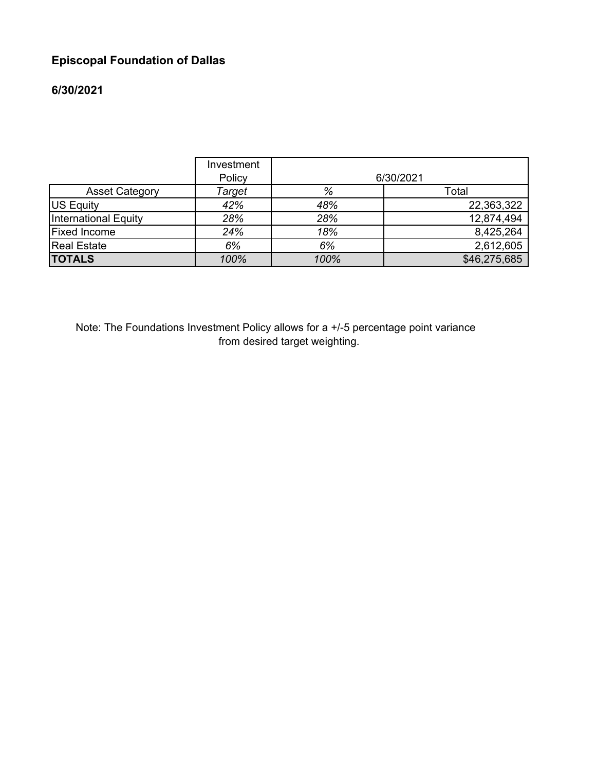# **Episcopal Foundation of Dallas**

# **6/30/2021**

|                       | Investment<br>Policy |      | 6/30/2021    |
|-----------------------|----------------------|------|--------------|
| <b>Asset Category</b> | Target               | %    | Total        |
| US Equity             | 42%                  | 48%  | 22,363,322   |
| International Equity  | 28%                  | 28%  | 12,874,494   |
| <b>Fixed Income</b>   | 24%                  | 18%  | 8,425,264    |
| <b>Real Estate</b>    | 6%                   | 6%   | 2,612,605    |
| <b>TOTALS</b>         | 100%                 | 100% | \$46,275,685 |

Note: The Foundations Investment Policy allows for a +/-5 percentage point variance from desired target weighting.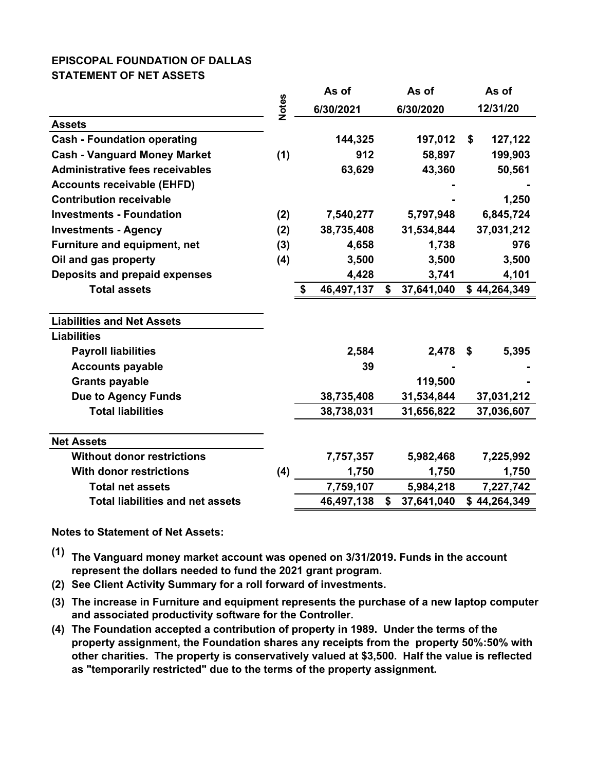## **EPISCOPAL FOUNDATION OF DALLAS STATEMENT OF NET ASSETS**

|                                         |              | As of            | As of            | As of         |
|-----------------------------------------|--------------|------------------|------------------|---------------|
|                                         | <b>Notes</b> | 6/30/2021        | 6/30/2020        | 12/31/20      |
| <b>Assets</b>                           |              |                  |                  |               |
| <b>Cash - Foundation operating</b>      |              | 144,325          | 197,012          | 127,122<br>\$ |
| <b>Cash - Vanguard Money Market</b>     | (1)          | 912              | 58,897           | 199,903       |
| <b>Administrative fees receivables</b>  |              | 63,629           | 43,360           | 50,561        |
| <b>Accounts receivable (EHFD)</b>       |              |                  |                  |               |
| <b>Contribution receivable</b>          |              |                  |                  | 1,250         |
| <b>Investments - Foundation</b>         | (2)          | 7,540,277        | 5,797,948        | 6,845,724     |
| <b>Investments - Agency</b>             | (2)          | 38,735,408       | 31,534,844       | 37,031,212    |
| Furniture and equipment, net            | (3)          | 4,658            | 1,738            | 976           |
| Oil and gas property                    | (4)          | 3,500            | 3,500            | 3,500         |
| Deposits and prepaid expenses           |              | 4,428            | 3,741            | 4,101         |
| <b>Total assets</b>                     |              | 46,497,137<br>\$ | \$<br>37,641,040 | \$44,264,349  |
| <b>Liabilities and Net Assets</b>       |              |                  |                  |               |
| <b>Liabilities</b>                      |              |                  |                  |               |
| <b>Payroll liabilities</b>              |              | 2,584            | 2,478            | 5,395<br>S    |
| <b>Accounts payable</b>                 |              | 39               |                  |               |
| <b>Grants payable</b>                   |              |                  | 119,500          |               |
| <b>Due to Agency Funds</b>              |              | 38,735,408       | 31,534,844       | 37,031,212    |
| <b>Total liabilities</b>                |              | 38,738,031       | 31,656,822       | 37,036,607    |
| <b>Net Assets</b>                       |              |                  |                  |               |
| <b>Without donor restrictions</b>       |              | 7,757,357        | 5,982,468        | 7,225,992     |
| <b>With donor restrictions</b>          | (4)          | 1,750            | 1,750            | 1,750         |
| <b>Total net assets</b>                 |              | 7,759,107        | 5,984,218        | 7,227,742     |
| <b>Total liabilities and net assets</b> |              | 46,497,138       | \$<br>37,641,040 | \$44,264,349  |

**Notes to Statement of Net Assets:**

- **(1) The Vanguard money market account was opened on 3/31/2019. Funds in the account represent the dollars needed to fund the 2021 grant program.**
- **(2) See Client Activity Summary for a roll forward of investments.**
- **(3) The increase in Furniture and equipment represents the purchase of a new laptop computer and associated productivity software for the Controller.**
- **(4) The Foundation accepted a contribution of property in 1989. Under the terms of the property assignment, the Foundation shares any receipts from the property 50%:50% with other charities. The property is conservatively valued at \$3,500. Half the value is reflected as "temporarily restricted" due to the terms of the property assignment.**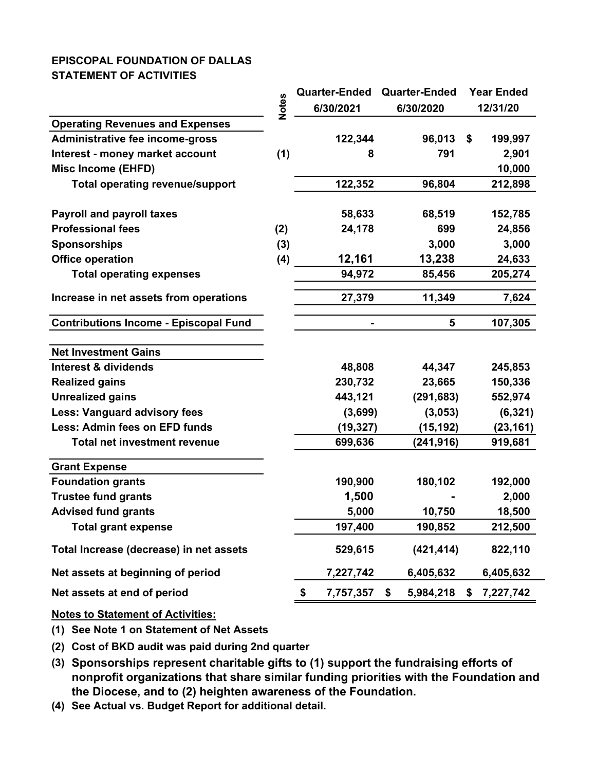## **EPISCOPAL FOUNDATION OF DALLAS STATEMENT OF ACTIVITIES**

|                                                                                                                                                                                                                                                 |              | <b>Quarter-Ended</b> | <b>Quarter-Ended</b> | <b>Year Ended</b> |
|-------------------------------------------------------------------------------------------------------------------------------------------------------------------------------------------------------------------------------------------------|--------------|----------------------|----------------------|-------------------|
|                                                                                                                                                                                                                                                 | <b>Notes</b> | 6/30/2021            | 6/30/2020            | 12/31/20          |
| <b>Operating Revenues and Expenses</b>                                                                                                                                                                                                          |              |                      |                      |                   |
| Administrative fee income-gross                                                                                                                                                                                                                 |              | 122,344              | 96,013               | \$<br>199,997     |
| Interest - money market account                                                                                                                                                                                                                 | (1)          | 8                    | 791                  | 2,901             |
| <b>Misc Income (EHFD)</b>                                                                                                                                                                                                                       |              |                      |                      | 10,000            |
| <b>Total operating revenue/support</b>                                                                                                                                                                                                          |              | 122,352              | 96,804               | 212,898           |
| <b>Payroll and payroll taxes</b>                                                                                                                                                                                                                |              | 58,633               | 68,519               | 152,785           |
| <b>Professional fees</b>                                                                                                                                                                                                                        | (2)          | 24,178               | 699                  | 24,856            |
| <b>Sponsorships</b>                                                                                                                                                                                                                             | (3)          |                      | 3,000                | 3,000             |
| <b>Office operation</b>                                                                                                                                                                                                                         | (4)          | 12,161               | 13,238               | 24,633            |
| <b>Total operating expenses</b>                                                                                                                                                                                                                 |              | 94,972               | 85,456               | 205,274           |
| Increase in net assets from operations                                                                                                                                                                                                          |              | 27,379               | 11,349               | 7,624             |
| <b>Contributions Income - Episcopal Fund</b>                                                                                                                                                                                                    |              |                      | 5                    | 107,305           |
| <b>Net Investment Gains</b>                                                                                                                                                                                                                     |              |                      |                      |                   |
| <b>Interest &amp; dividends</b>                                                                                                                                                                                                                 |              | 48,808               | 44,347               | 245,853           |
| <b>Realized gains</b>                                                                                                                                                                                                                           |              | 230,732              | 23,665               | 150,336           |
| <b>Unrealized gains</b>                                                                                                                                                                                                                         |              | 443,121              | (291, 683)           | 552,974           |
| <b>Less: Vanguard advisory fees</b>                                                                                                                                                                                                             |              | (3,699)              | (3,053)              | (6, 321)          |
| <b>Less: Admin fees on EFD funds</b>                                                                                                                                                                                                            |              | (19, 327)            | (15, 192)            | (23, 161)         |
| <b>Total net investment revenue</b>                                                                                                                                                                                                             |              | 699,636              | (241, 916)           | 919,681           |
| <b>Grant Expense</b>                                                                                                                                                                                                                            |              |                      |                      |                   |
| <b>Foundation grants</b>                                                                                                                                                                                                                        |              | 190,900              | 180,102              | 192,000           |
| <b>Trustee fund grants</b>                                                                                                                                                                                                                      |              | 1,500                |                      | 2,000             |
| <b>Advised fund grants</b>                                                                                                                                                                                                                      |              | 5,000                | 10,750               | 18,500            |
| <b>Total grant expense</b>                                                                                                                                                                                                                      |              | 197,400              | 190,852              | 212,500           |
| Total Increase (decrease) in net assets                                                                                                                                                                                                         |              | 529,615              | (421, 414)           | 822,110           |
| Net assets at beginning of period                                                                                                                                                                                                               |              | 7,227,742            | 6,405,632            | 6,405,632         |
| Net assets at end of period                                                                                                                                                                                                                     |              | \$<br>7,757,357      | \$<br>5,984,218      | \$<br>7,227,742   |
| <b>Notes to Statement of Activities:</b>                                                                                                                                                                                                        |              |                      |                      |                   |
| (1) See Note 1 on Statement of Net Assets                                                                                                                                                                                                       |              |                      |                      |                   |
| (2) Cost of BKD audit was paid during 2nd quarter                                                                                                                                                                                               |              |                      |                      |                   |
| (3) Sponsorships represent charitable gifts to (1) support the fundraising efforts of<br>nonprofit organizations that share similar funding priorities with the Foundation and<br>the Diocese, and to (2) heighten awareness of the Foundation. |              |                      |                      |                   |
| (4) See Actual vs. Budget Report for additional detail.                                                                                                                                                                                         |              |                      |                      |                   |

(4) See Actual vs. Budget Report for additional detail.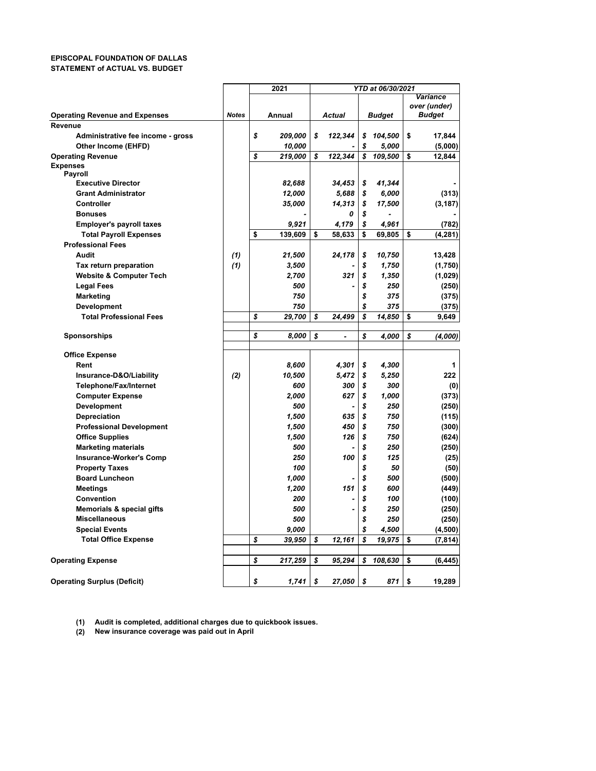#### **EPISCOPAL FOUNDATION OF DALLAS STATEMENT of ACTUAL VS. BUDGET**

|                                       |              | 2021          | YTD at 06/30/2021 |                |    |               |    |               |
|---------------------------------------|--------------|---------------|-------------------|----------------|----|---------------|----|---------------|
|                                       |              |               |                   |                |    |               |    | Variance      |
|                                       |              |               |                   |                |    |               |    | over (under)  |
| <b>Operating Revenue and Expenses</b> | <b>Notes</b> | Annual        |                   | Actual         |    | <b>Budget</b> |    | <b>Budget</b> |
| Revenue                               |              |               |                   |                |    |               |    |               |
| Administrative fee income - gross     |              | \$<br>209,000 | \$                | 122,344        | \$ | 104,500       | \$ | 17,844        |
| Other Income (EHFD)                   |              | 10,000        |                   |                | \$ | 5,000         |    | (5,000)       |
| <b>Operating Revenue</b>              |              | \$<br>219,000 | \$                | 122,344        | \$ | 109,500       | \$ | 12,844        |
| <b>Expenses</b>                       |              |               |                   |                |    |               |    |               |
| Payroll<br><b>Executive Director</b>  |              |               |                   |                | \$ |               |    |               |
|                                       |              | 82,688        |                   | 34,453         |    | 41,344        |    |               |
| <b>Grant Administrator</b>            |              | 12,000        |                   | 5,688          | \$ | 6,000         |    | (313)         |
| Controller                            |              | 35,000        |                   | 14,313         | \$ | 17,500        |    | (3, 187)      |
| <b>Bonuses</b>                        |              |               |                   | 0              | \$ |               |    |               |
| <b>Employer's payroll taxes</b>       |              | 9,921         |                   | 4,179          | \$ | 4.961         |    | (782)         |
| <b>Total Payroll Expenses</b>         |              | \$<br>139,609 | \$                | 58,633         | \$ | 69,805        | \$ | (4, 281)      |
| <b>Professional Fees</b>              |              |               |                   |                |    |               |    |               |
| Audit                                 | (1)          | 21,500        |                   | 24,178         | \$ | 10,750        |    | 13,428        |
| Tax return preparation                | (1)          | 3,500         |                   |                | \$ | 1,750         |    | (1,750)       |
| <b>Website &amp; Computer Tech</b>    |              | 2,700         |                   | 321            | \$ | 1,350         |    | (1,029)       |
| <b>Legal Fees</b>                     |              | 500           |                   |                | \$ | 250           |    | (250)         |
| Marketing                             |              | 750           |                   |                | \$ | 375           |    | (375)         |
| Development                           |              | 750           |                   |                | \$ | 375           |    | (375)         |
| <b>Total Professional Fees</b>        |              | \$<br>29.700  | \$                | 24.499         | \$ | 14.850        | \$ | 9.649         |
|                                       |              |               |                   |                |    |               |    |               |
| <b>Sponsorships</b>                   |              | \$<br>8,000   | \$                | $\blacksquare$ | \$ | 4,000         | \$ | (4,000)       |
|                                       |              |               |                   |                |    |               |    |               |
| <b>Office Expense</b>                 |              |               |                   |                |    |               |    |               |
| Rent                                  |              | 8,600         |                   | 4,301          | \$ | 4,300         |    | 1             |
| Insurance-D&O/Liability               | (2)          | 10,500        |                   | 5,472          | \$ | 5,250         |    | 222           |
| Telephone/Fax/Internet                |              | 600           |                   | 300            | \$ | 300           |    | (0)           |
| <b>Computer Expense</b>               |              | 2,000         |                   | 627            | \$ | 1,000         |    | (373)         |
| Development                           |              | 500           |                   |                | \$ | 250           |    | (250)         |
| <b>Depreciation</b>                   |              | 1,500         |                   | 635            | \$ | 750           |    | (115)         |
| <b>Professional Development</b>       |              | 1,500         |                   | 450            | \$ | 750           |    | (300)         |
| <b>Office Supplies</b>                |              | 1,500         |                   | 126            | \$ | 750           |    | (624)         |
| <b>Marketing materials</b>            |              | 500           |                   |                | \$ | 250           |    | (250)         |
| <b>Insurance-Worker's Comp</b>        |              | 250           |                   | 100            | \$ | 125           |    | (25)          |
| <b>Property Taxes</b>                 |              | 100           |                   |                | \$ | 50            |    | (50)          |
| <b>Board Luncheon</b>                 |              | 1,000         |                   |                | \$ | 500           |    | (500)         |
| <b>Meetings</b>                       |              | 1,200         |                   | 151            | \$ | 600           |    | (449)         |
| Convention                            |              | 200           |                   |                | \$ | 100           |    | (100)         |
| <b>Memorials &amp; special gifts</b>  |              | 500           |                   |                | \$ | 250           |    | (250)         |
| <b>Miscellaneous</b>                  |              | 500           |                   |                | \$ | 250           |    | (250)         |
| <b>Special Events</b>                 |              | 9,000         |                   |                | \$ | 4,500         |    | (4,500)       |
| <b>Total Office Expense</b>           |              | \$<br>39,950  | \$                | 12,161         | \$ | 19,975        | \$ | (7, 814)      |
|                                       |              |               |                   |                |    |               |    |               |
| <b>Operating Expense</b>              |              | \$<br>217,259 | \$                | 95,294         | \$ | 108,630       | \$ | (6, 445)      |
|                                       |              |               |                   |                |    |               |    |               |
|                                       |              |               |                   |                |    |               |    |               |
| <b>Operating Surplus (Deficit)</b>    |              | \$<br>1,741   | \$                | 27,050         | \$ | 871           | \$ | 19,289        |

**(1) Audit is completed, additional charges due to quickbook issues.**

**(2) New insurance coverage was paid out in April**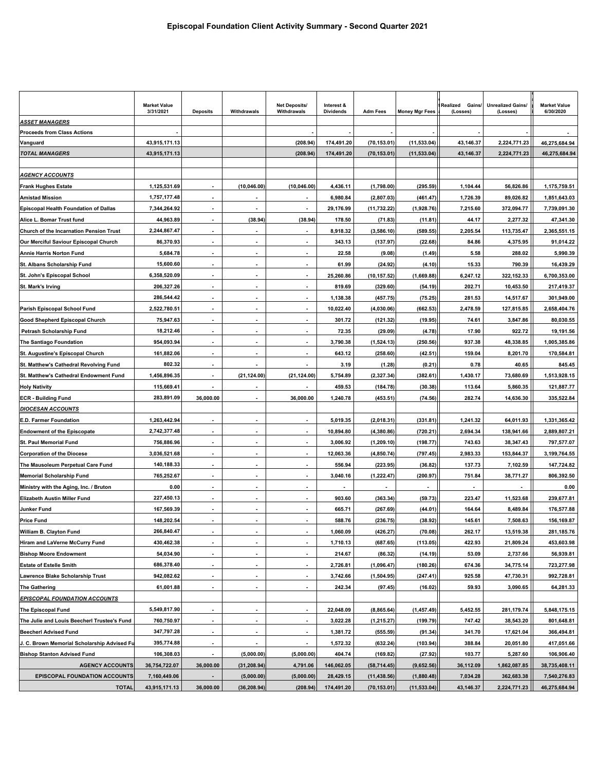|                                              | <b>Market Value</b><br>3/31/2021 | <b>Deposits</b>          | Withdrawals              | <b>Net Deposits/</b><br>Withdrawals | Interest &<br><b>Dividends</b> | <b>Adm Fees</b>          | <b>Money Mgr Fees</b> | Realized<br>Gains/<br>(Losses) | <b>Unrealized Gains/</b><br>(Losses) | <b>Market Value</b><br>6/30/2020 |
|----------------------------------------------|----------------------------------|--------------------------|--------------------------|-------------------------------------|--------------------------------|--------------------------|-----------------------|--------------------------------|--------------------------------------|----------------------------------|
| <b>ASSET MANAGERS</b>                        |                                  |                          |                          |                                     |                                |                          |                       |                                |                                      |                                  |
| <b>Proceeds from Class Actions</b>           |                                  |                          |                          |                                     |                                |                          |                       |                                |                                      |                                  |
| Vanguard                                     | 43,915,171.13                    |                          |                          | (208.94)                            | 174,491.20                     | (70, 153.01)             | (11, 533.04)          | 43,146.37                      | 2,224,771.23                         | 46,275,684.94                    |
| <b>TOTAL MANAGERS</b>                        | 43,915,171.13                    |                          |                          | (208.94)                            | 174,491.20                     | (70, 153.01)             | (11, 533.04)          | 43,146.37                      | 2,224,771.23                         | 46,275,684.94                    |
| <u>AGENCY ACCOUNTS</u>                       |                                  |                          |                          |                                     |                                |                          |                       |                                |                                      |                                  |
| <b>Frank Hughes Estate</b>                   | 1,125,531.69                     |                          | (10, 046.00)             | (10, 046.00)                        | 4,436.11                       | (1,798.00)               | (295.59)              | 1,104.44                       | 56,826.86                            | 1,175,759.51                     |
| <b>Amistad Mission</b>                       | 1,757,177.48                     |                          |                          |                                     | 6,980.84                       | (2,807.03)               | (461.47)              | 1,726.39                       | 89,026.82                            | 1,851,643.03                     |
| <b>Episcopal Health Foundation of Dallas</b> | 7,344,264.92                     | $\overline{\phantom{a}}$ | $\blacksquare$           | $\overline{\phantom{a}}$            | 29,176.99                      | (11, 732.22)             | (1,928.76)            | 7,215.60                       | 372,094.77                           | 7,739,091.30                     |
| Alice L. Bomar Trust fund                    | 44,963.89                        |                          | (38.94)                  | (38.94)                             | 178.50                         | (71.83)                  | (11.81)               | 44.17                          | 2,277.32                             | 47,341.30                        |
| Church of the Incarnation Pension Trust      | 2,244,867.47                     | $\blacksquare$           | ٠                        | $\overline{\phantom{a}}$            | 8,918.32                       | (3,586.10)               | (589.55)              | 2,205.54                       | 113,735.47                           | 2,365,551.15                     |
| Our Merciful Saviour Episcopal Church        | 86,370.93                        | $\overline{\phantom{a}}$ | ٠                        | $\overline{\phantom{a}}$            | 343.13                         | (137.97)                 | (22.68)               | 84.86                          | 4,375.95                             | 91,014.22                        |
| Annie Harris Norton Fund                     | 5,684.78                         |                          |                          |                                     | 22.58                          | (9.08)                   | (1.49)                | 5.58                           | 288.02                               | 5,990.39                         |
| St. Albans Scholarship Fund                  | 15,600.60                        |                          |                          |                                     | 61.99                          | (24.92)                  | (4.10)                | 15.33                          | 790.39                               | 16,439.29                        |
| St. John's Episcopal School                  | 6,358,520.09                     |                          |                          | $\overline{\phantom{a}}$            | 25,260.86                      | (10, 157.52)             | (1,669.88)            | 6,247.12                       | 322,152.33                           | 6,700,353.00                     |
| St. Mark's Irving                            | 206,327.26                       |                          |                          |                                     | 819.69                         | (329.60)                 | (54.19)               | 202.71                         | 10,453.50                            | 217,419.37                       |
|                                              | 286,544.42                       | $\overline{\phantom{a}}$ | ٠                        | $\blacksquare$                      | 1,138.38                       | (457.75)                 | (75.25)               | 281.53                         | 14,517.67                            | 301,949.00                       |
| Parish Episcopal School Fund                 | 2,522,780.51                     | $\blacksquare$           |                          |                                     | 10,022.40                      | (4,030.06)               | (662.53)              | 2,478.59                       | 127,815.85                           | 2,658,404.76                     |
| Good Shepherd Episcopal Church               | 75,947.63                        |                          | ٠                        | $\blacksquare$                      | 301.72                         | (121.32)                 | (19.95)               | 74.61                          | 3,847.86                             | 80,030.55                        |
| Petrash Scholarship Fund                     | 18,212.46                        |                          | $\overline{\phantom{a}}$ | $\blacksquare$                      | 72.35                          | (29.09)                  | (4.78)                | 17.90                          | 922.72                               | 19,191.56                        |
| The Santiago Foundation                      | 954,093.94                       |                          |                          |                                     | 3,790.38                       | (1,524.13)               | (250.56)              | 937.38                         | 48,338.85                            | 1,005,385.86                     |
| St. Augustine's Episcopal Church             | 161,882.06                       |                          |                          | $\overline{\phantom{a}}$            | 643.12                         | (258.60)                 | (42.51)               | 159.04                         | 8,201.70                             | 170,584.81                       |
| St. Matthew's Cathedral Revolving Fund       | 802.32                           | $\overline{\phantom{a}}$ |                          |                                     | 3.19                           | (1.28)                   | (0.21)                | 0.78                           | 40.65                                | 845.45                           |
| St. Matthew's Cathedral Endowment Fund       | 1,456,896.35                     |                          | (21,124.00)              | (21, 124.00)                        | 5,754.89                       | (2, 327.34)              | (382.61)              | 1,430.17                       | 73,680.69                            | 1,513,928.15                     |
| <b>Holy Nativity</b>                         | 115,669.41                       |                          |                          |                                     | 459.53                         | (184.78)                 | (30.38)               | 113.64                         | 5,860.35                             | 121,887.77                       |
| <b>ECR - Building Fund</b>                   | 283,891.09                       | 36,000.00                |                          | 36,000.00                           | 1,240.78                       | (453.51)                 | (74.56)               | 282.74                         | 14,636.30                            | 335,522.84                       |
| <b>DIOCESAN ACCOUNTS</b>                     |                                  |                          |                          |                                     |                                |                          |                       |                                |                                      |                                  |
| E.D. Farmer Foundation                       | 1,263,442.94                     |                          |                          | $\blacksquare$                      | 5,019.35                       | (2,018.31)               | (331.81)              | 1,241.32                       | 64,011.93                            | 1,331,365.42                     |
| <b>Endowment of the Episcopate</b>           | 2,742,377.48                     |                          |                          |                                     | 10,894.80                      | (4,380.86)               | (720.21)              | 2,694.34                       | 138,941.66                           | 2,889,807.21                     |
| <b>St. Paul Memorial Fund</b>                | 756,886.96                       | $\blacksquare$           | $\blacksquare$           | $\blacksquare$                      | 3,006.92                       | (1,209.10)               | (198.77)              | 743.63                         | 38,347.43                            | 797,577.07                       |
| <b>Corporation of the Diocese</b>            | 3,036,521.68                     | $\overline{\phantom{a}}$ |                          | $\overline{\phantom{a}}$            | 12,063.36                      | (4,850.74)               | (797.45)              | 2,983.33                       | 153,844.37                           | 3,199,764.55                     |
| The Mausoleum Perpetual Care Fund            | 140,188.33                       |                          |                          |                                     | 556.94                         | (223.95)                 | (36.82)               | 137.73                         | 7.102.59                             | 147,724.82                       |
| <b>Memorial Scholarship Fund</b>             | 765,252.67                       | $\overline{\phantom{a}}$ | ٠                        | $\overline{\phantom{a}}$            | 3,040.16                       | (1, 222.47)              | (200.97)              | 751.84                         | 38,771.27                            | 806,392.50                       |
| Ministry with the Aging, Inc. / Bruton       | 0.00                             |                          |                          |                                     |                                | $\overline{\phantom{a}}$ |                       |                                |                                      | 0.00                             |
| Elizabeth Austin Miller Fund                 | 227,450.13                       |                          |                          |                                     | 903.60                         | (363.34)                 | (59.73)               | 223.47                         | 11,523.68                            | 239,677.81                       |
| Junker Fund                                  | 167,569.39                       |                          |                          |                                     | 665.71                         | (267.69)                 | (44.01)               | 164.64                         | 8,489.84                             | 176,577.88                       |
| <b>Price Fund</b>                            | 148,202.54                       |                          |                          |                                     | 588.76                         | (236.75)                 | (38.92)               | 145.61                         | 7.508.63                             | 156,169.87                       |
| William B. Clayton Fund                      | 266,840.47                       |                          |                          |                                     | 1,060.09                       | (426.27)                 | (70.08)               | 262.17                         | 13,519.38                            | 281,185.76                       |
| Hiram and LaVerne McCurry Fund               | 430,462.38                       | $\blacksquare$           | $\overline{\phantom{a}}$ | $\overline{\phantom{a}}$            | 1,710.13                       | (687.65)                 | (113.05)              | 422.93                         | 21,809.24                            | 453,603.98                       |
| <b>Bishop Moore Endowment</b>                | 54,034.90                        |                          |                          |                                     | 214.67                         | (86.32)                  | (14.19)               | 53.09                          | 2,737.66                             | 56,939.81                        |
| <b>Estate of Estelle Smith</b>               | 686,378.40                       | $\overline{\phantom{a}}$ | $\overline{\phantom{a}}$ | $\blacksquare$                      | 2,726.81                       | (1,096.47)               | (180.26)              | 674.36                         | 34,775.14                            | 723,277.98                       |
| Lawrence Blake Scholarship Trust             | 942,082.62                       | $\blacksquare$           |                          |                                     | 3,742.66                       | (1,504.95)               | (247.41)              | 925.58                         | 47,730.31                            | 992,728.81                       |
| <b>The Gathering</b>                         | 61,001.88                        | $\blacksquare$           |                          | $\blacksquare$                      | 242.34                         | (97.45)                  | (16.02)               | 59.93                          | 3,090.65                             | 64,281.33                        |
| <b>EPISCOPAL FOUNDATION ACCOUNTS</b>         |                                  |                          |                          |                                     |                                |                          |                       |                                |                                      |                                  |
| The Episcopal Fund                           | 5,549,817.90                     | $\blacksquare$           | ٠                        |                                     | 22,048.09                      | (8,865.64)               | (1, 457.49)           | 5,452.55                       | 281,179.74                           | 5,848,175.15                     |
| The Julie and Louis Beecherl Trustee's Fund  | 760,750.97                       |                          |                          | $\overline{\phantom{a}}$            | 3,022.28                       | (1, 215.27)              | (199.79)              | 747.42                         | 38,543.20                            | 801,648.81                       |
| <b>Beecherl Advised Fund</b>                 | 347,797.28                       |                          |                          |                                     | 1,381.72                       | (555.59)                 | (91.34)               | 341.70                         | 17,621.04                            | 366,494.81                       |
| J. C. Brown Memorial Scholarship Advised Fu  | 395,774.88                       |                          |                          |                                     | 1,572.32                       | (632.24)                 | (103.94)              | 388.84                         | 20,051.80                            | 417,051.66                       |
| <b>Bishop Stanton Advised Fund</b>           | 106,308.03                       | $\blacksquare$           | (5,000.00)               | (5,000.00)                          | 404.74                         | (169.82)                 | (27.92)               | 103.77                         | 5,287.60                             | 106,906.40                       |
| <b>AGENCY ACCOUNTS</b>                       | 36,754,722.07                    | 36,000.00                | (31, 208.94)             | 4,791.06                            | 146,062.05                     | (58, 714.45)             | (9,652.56)            | 36,112.09                      | 1,862,087.85                         | 38,735,408.11                    |
| <b>EPISCOPAL FOUNDATION ACCOUNTS</b>         | 7,160,449.06                     |                          | (5,000.00)               | (5,000.00)                          | 28,429.15                      | (11, 438.56)             | (1,880.48)            | 7,034.28                       | 362,683.38                           | 7,540,276.83                     |
| <b>TOTAL</b>                                 | 43,915,171.13                    | 36,000.00                | (36, 208.94)             | (208.94)                            | 174,491.20                     | (70, 153.01)             | (11, 533.04)          | 43,146.37                      | 2,224,771.23                         | 46,275,684.94                    |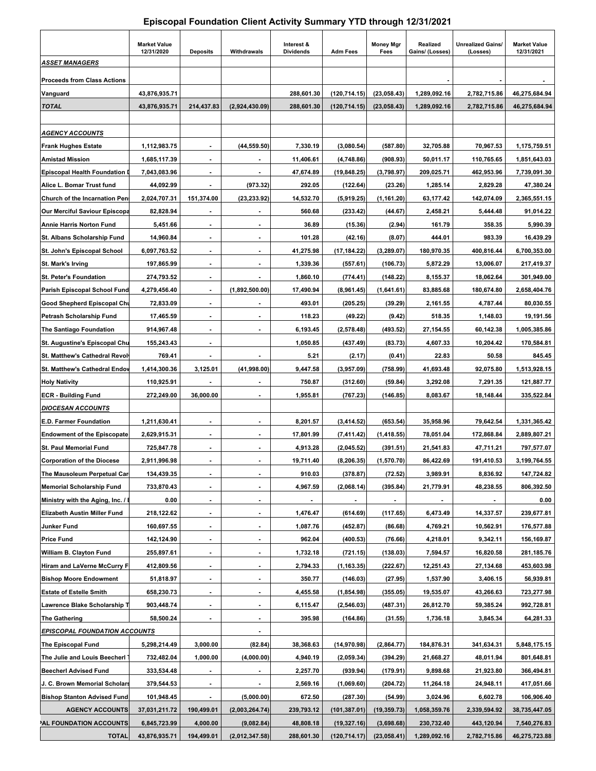## **Episcopal Foundation Client Activity Summary YTD through 12/31/2021**

|                                       | <b>Market Value</b><br>12/31/2020 | <b>Deposits</b>          | Withdrawals              | Interest &<br><b>Dividends</b> | <b>Adm Fees</b> | <b>Money Mgr</b><br>Fees | Realized<br>Gains/ (Losses) | <b>Unrealized Gains/</b><br>(Losses) | <b>Market Value</b><br>12/31/2021 |
|---------------------------------------|-----------------------------------|--------------------------|--------------------------|--------------------------------|-----------------|--------------------------|-----------------------------|--------------------------------------|-----------------------------------|
| <b>ASSET MANAGERS</b>                 |                                   |                          |                          |                                |                 |                          |                             |                                      |                                   |
| <b>Proceeds from Class Actions</b>    |                                   |                          |                          |                                |                 |                          |                             |                                      |                                   |
| Vanguard                              | 43,876,935.71                     |                          |                          | 288,601.30                     | (120, 714.15)   | (23,058.43)              | 1,289,092.16                | 2,782,715.86                         | 46,275,684.94                     |
| <b>TOTAL</b>                          | 43,876,935.71                     | 214,437.83               | (2,924,430.09)           | 288,601.30                     | (120, 714.15)   | (23,058.43)              | 1,289,092.16                | 2,782,715.86                         | 46,275,684.94                     |
|                                       |                                   |                          |                          |                                |                 |                          |                             |                                      |                                   |
| <b>AGENCY ACCOUNTS</b>                |                                   |                          |                          |                                |                 |                          |                             |                                      |                                   |
| <b>Frank Hughes Estate</b>            | 1,112,983.75                      |                          | (44.559.50)              | 7,330.19                       | (3,080.54)      | (587.80)                 | 32,705.88                   | 70,967.53                            | 1,175,759.51                      |
| <b>Amistad Mission</b>                | 1,685,117.39                      |                          |                          | 11,406.61                      | (4,748.86)      | (908.93)                 | 50,011.17                   | 110,765.65                           | 1,851,643.03                      |
| <b>Episcopal Health Foundation D</b>  | 7,043,083.96                      |                          |                          | 47,674.89                      | (19, 848.25)    | (3,798.97)               | 209,025.71                  | 462,953.96                           | 7,739,091.30                      |
| Alice L. Bomar Trust fund             | 44,092.99                         |                          | (973.32)                 | 292.05                         | (122.64)        | (23.26)                  | 1,285.14                    | 2,829.28                             | 47,380.24                         |
| <b>Church of the Incarnation Pens</b> | 2,024,707.31                      | 151,374.00               | (23, 233.92)             | 14,532.70                      | (5,919.25)      | (1, 161.20)              | 63,177.42                   | 142,074.09                           | 2,365,551.15                      |
| <b>Our Merciful Saviour Episcopa</b>  | 82,828.94                         |                          |                          | 560.68                         | (233.42)        | (44.67)                  | 2,458.21                    | 5,444.48                             | 91,014.22                         |
| <b>Annie Harris Norton Fund</b>       | 5,451.66                          | $\blacksquare$           |                          | 36.89                          | (15.36)         | (2.94)                   | 161.79                      | 358.35                               | 5,990.39                          |
| St. Albans Scholarship Fund           | 14,960.84                         |                          |                          | 101.28                         | (42.16)         | (8.07)                   | 444.01                      | 983.39                               | 16,439.29                         |
| St. John's Episcopal School           | 6,097,763.52                      | $\blacksquare$           | $\overline{\phantom{a}}$ | 41,275.98                      | (17, 184.22)    | (3, 289.07)              | 180,970.35                  | 400,816.44                           | 6,700,353.00                      |
| <b>St. Mark's Irving</b>              | 197,865.99                        |                          | $\blacksquare$           | 1,339.36                       | (557.61)        | (106.73)                 | 5,872.29                    | 13,006.07                            | 217,419.37                        |
| St. Peter's Foundation                | 274,793.52                        | $\blacksquare$           |                          | 1,860.10                       | (774.41)        | (148.22)                 | 8,155.37                    | 18,062.64                            | 301,949.00                        |
| Parish Episcopal School Fund          | 4,279,456.40                      |                          | (1,892,500.00)           | 17,490.94                      | (8,961.45)      | (1,641.61)               | 83,885.68                   | 180,674.80                           | 2,658,404.76                      |
| Good Shepherd Episcopal Chu           | 72,833.09                         | $\blacksquare$           | $\blacksquare$           | 493.01                         | (205.25)        | (39.29)                  | 2,161.55                    | 4,787.44                             | 80,030.55                         |
| Petrash Scholarship Fund              | 17,465.59                         | $\blacksquare$           |                          | 118.23                         | (49.22)         | (9.42)                   | 518.35                      | 1,148.03                             | 19,191.56                         |
| The Santiago Foundation               | 914,967.48                        | $\blacksquare$           |                          | 6,193.45                       | (2,578.48)      | (493.52)                 | 27,154.55                   | 60,142.38                            | 1,005,385.86                      |
| St. Augustine's Episcopal Chu         | 155,243.43                        |                          |                          | 1,050.85                       | (437.49)        | (83.73)                  | 4,607.33                    | 10,204.42                            | 170,584.81                        |
| St. Matthew's Cathedral Revolv        | 769.41                            | $\blacksquare$           |                          | 5.21                           | (2.17)          | (0.41)                   | 22.83                       | 50.58                                | 845.45                            |
| <b>St. Matthew's Cathedral Endov</b>  | 1,414,300.36                      | 3,125.01                 | (41,998.00)              | 9,447.58                       | (3,957.09)      | (758.99)                 | 41,693.48                   | 92,075.80                            | 1,513,928.15                      |
| <b>Holy Nativity</b>                  | 110,925.91                        |                          |                          | 750.87                         | (312.60)        | (59.84)                  | 3,292.08                    | 7,291.35                             | 121,887.77                        |
| <b>ECR - Building Fund</b>            | 272,249.00                        | 36,000.00                |                          | 1,955.81                       | (767.23)        | (146.85)                 | 8,083.67                    | 18,148.44                            | 335,522.84                        |
| <b>DIOCESAN ACCOUNTS</b>              |                                   |                          |                          |                                |                 |                          |                             |                                      |                                   |
| E.D. Farmer Foundation                | 1,211,630.41                      |                          |                          | 8,201.57                       | (3,414.52)      | (653.54)                 | 35,958.96                   | 79,642.54                            | 1,331,365.42                      |
| <b>Endowment of the Episcopate</b>    | 2,629,915.31                      | $\blacksquare$           |                          | 17,801.99                      | (7, 411.42)     | (1, 418.55)              | 78,051.04                   | 172,868.84                           | 2,889,807.21                      |
| <b>St. Paul Memorial Fund</b>         | 725,847.78                        |                          |                          | 4,913.28                       | (2,045.52)      | (391.51)                 | 21,541.83                   | 47,711.21                            | 797,577.07                        |
| <b>Corporation of the Diocese</b>     | 2,911,996.98                      | $\blacksquare$           | $\overline{\phantom{a}}$ | 19,711.40                      | (8, 206.35)     | (1,570.70)               | 86,422.69                   | 191,410.53                           | 3,199,764.55                      |
| The Mausoleum Perpetual Car           | 134,439.35                        | $\overline{\phantom{a}}$ | $\blacksquare$           | 910.03                         | (378.87)        | (72.52)                  | 3,989.91                    | 8,836.92                             | 147,724.82                        |
| <b>Memorial Scholarship Fund</b>      | 733,870.43                        | $\blacksquare$           |                          | 4,967.59                       | (2,068.14)      | (395.84)                 | 21,779.91                   | 48,238.55                            | 806,392.50                        |
| Ministry with the Aging, Inc. / E     | 0.00                              |                          | Ξ.                       |                                |                 |                          |                             |                                      | 0.00                              |
| Elizabeth Austin Miller Fund          | 218,122.62                        | ۰.                       | $\blacksquare$           | 1,476.47                       | (614.69)        | (117.65)                 | 6,473.49                    | 14,337.57                            | 239,677.81                        |
| Junker Fund                           | 160,697.55                        | $\overline{\phantom{a}}$ | $\blacksquare$           | 1,087.76                       | (452.87)        | (86.68)                  | 4,769.21                    | 10,562.91                            | 176,577.88                        |
| <b>Price Fund</b>                     | 142,124.90                        | ۰.                       | ٠                        | 962.04                         | (400.53)        | (76.66)                  | 4,218.01                    | 9,342.11                             | 156,169.87                        |
| William B. Clayton Fund               | 255,897.61                        |                          | ٠                        | 1,732.18                       | (721.15)        | (138.03)                 | 7,594.57                    | 16,820.58                            | 281,185.76                        |
| Hiram and LaVerne McCurry F           | 412,809.56                        | ۰.                       | ۰                        | 2,794.33                       | (1,163.35)      | (222.67)                 | 12,251.43                   | 27,134.68                            | 453,603.98                        |
| <b>Bishop Moore Endowment</b>         | 51,818.97                         | $\blacksquare$           | ۰.                       | 350.77                         | (146.03)        | (27.95)                  | 1,537.90                    | 3,406.15                             | 56,939.81                         |
| <b>Estate of Estelle Smith</b>        | 658,230.73                        | $\blacksquare$           | $\blacksquare$           | 4,455.58                       | (1,854.98)      | (355.05)                 | 19,535.07                   | 43,266.63                            | 723,277.98                        |
| Lawrence Blake Scholarship T          | 903,448.74                        |                          | $\overline{\phantom{a}}$ | 6,115.47                       | (2, 546.03)     | (487.31)                 | 26,812.70                   | 59,385.24                            | 992,728.81                        |
| <b>The Gathering</b>                  | 58,500.24                         | $\blacksquare$           | $\blacksquare$           | 395.98                         | (164.86)        | (31.55)                  | 1,736.18                    | 3,845.34                             | 64,281.33                         |
| <b>EPISCOPAL FOUNDATION ACCOUNTS</b>  |                                   |                          |                          |                                |                 |                          |                             |                                      |                                   |
| The Episcopal Fund                    | 5,298,214.49                      | 3,000.00                 | (82.84)                  | 38,368.63                      | (14, 970.98)    | (2,864.77)               | 184,876.31                  | 341,634.31                           | 5,848,175.15                      |
| The Julie and Louis Beecherl          | 732,482.04                        | 1,000.00                 | (4,000.00)               | 4,940.19                       | (2,059.34)      | (394.29)                 | 21,668.27                   | 48,011.94                            | 801,648.81                        |
| <b>Beecherl Advised Fund</b>          | 333,534.48                        |                          |                          | 2,257.70                       | (939.94)        | (179.91)                 | 9,898.68                    | 21,923.80                            | 366,494.81                        |
| J. C. Brown Memorial Scholars         | 379,544.53                        |                          |                          | 2,569.16                       | (1,069.60)      | (204.72)                 | 11,264.18                   | 24,948.11                            | 417,051.66                        |
| <b>Bishop Stanton Advised Fund</b>    | 101,948.45                        |                          | (5,000.00)               | 672.50                         | (287.30)        | (54.99)                  | 3,024.96                    | 6,602.78                             | 106,906.40                        |
| <b>AGENCY ACCOUNTS</b>                | 37,031,211.72                     | 190,499.01               | (2,003,264.74)           | 239,793.12                     | (101,387.01)    | (19, 359.73)             | 1,058,359.76                | 2,339,594.92                         | 38,735,447.05                     |
| AL FOUNDATION ACCOUNTS                | 6,845,723.99                      | 4,000.00                 | (9,082.84)               | 48,808.18                      | (19, 327.16)    | (3,698.68)               | 230,732.40                  | 443,120.94                           | 7,540,276.83                      |
| <b>TOTAL</b>                          | 43,876,935.71                     | 194,499.01               | (2,012,347.58)           | 288,601.30                     | (120, 714.17)   | (23,058.41)              | 1,289,092.16                | 2,782,715.86                         | 46,275,723.88                     |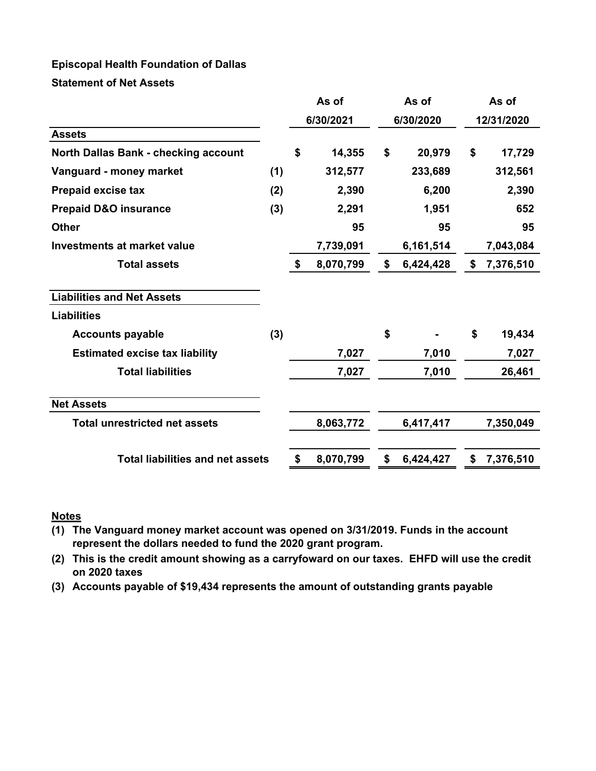## **Episcopal Health Foundation of Dallas**

**Statement of Net Assets**

|                                             |     |    | As of     | As of           |    | As of      |
|---------------------------------------------|-----|----|-----------|-----------------|----|------------|
|                                             |     |    | 6/30/2021 | 6/30/2020       |    | 12/31/2020 |
| <b>Assets</b>                               |     |    |           |                 |    |            |
| <b>North Dallas Bank - checking account</b> |     | \$ | 14,355    | \$<br>20,979    | \$ | 17,729     |
| Vanguard - money market                     | (1) |    | 312,577   | 233,689         |    | 312,561    |
| Prepaid excise tax                          | (2) |    | 2,390     | 6,200           |    | 2,390      |
| <b>Prepaid D&amp;O insurance</b>            | (3) |    | 2,291     | 1,951           |    | 652        |
| <b>Other</b>                                |     |    | 95        | 95              |    | 95         |
| <b>Investments at market value</b>          |     |    | 7,739,091 | 6,161,514       |    | 7,043,084  |
| <b>Total assets</b>                         |     | \$ | 8,070,799 | \$<br>6,424,428 | \$ | 7,376,510  |
| <b>Liabilities and Net Assets</b>           |     |    |           |                 |    |            |
| <b>Liabilities</b>                          |     |    |           |                 |    |            |
| <b>Accounts payable</b>                     | (3) |    |           | \$              | \$ | 19,434     |
| <b>Estimated excise tax liability</b>       |     |    | 7,027     | 7,010           |    | 7,027      |
| <b>Total liabilities</b>                    |     |    | 7,027     | 7,010           |    | 26,461     |
| <b>Net Assets</b>                           |     |    |           |                 |    |            |
| <b>Total unrestricted net assets</b>        |     |    | 8,063,772 | 6,417,417       |    | 7,350,049  |
| <b>Total liabilities and net assets</b>     |     | \$ | 8,070,799 | \$<br>6,424,427 | \$ | 7,376,510  |

## **Notes**

**(1) The Vanguard money market account was opened on 3/31/2019. Funds in the account represent the dollars needed to fund the 2020 grant program.**

**(2) This is the credit amount showing as a carryfoward on our taxes. EHFD will use the credit on 2020 taxes**

**(3) Accounts payable of \$19,434 represents the amount of outstanding grants payable**